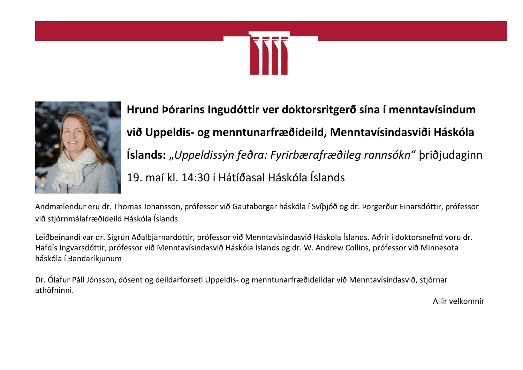



**Hrund Þórarins Ingudóttir ver doktorsritgerð sína í menntavísindum við Uppeldis- og menntunarfræðideild, Menntavísindasviði Háskóla Íslands:** "*Uppeldissýn feðra: Fyrirbærafræðileg rannsókn*" þriðjudaginn 19. maí kl. 14:30 í Hátíðasal Háskóla Íslands

Andmælendur eru dr. Thomas Johansson, prófessor við Gautaborgar háskóla í Svíþjóð og dr. Þorgerður Einarsdóttir, prófessor við stjórnmálafræðideild Háskóla Íslands

Leiðbeinandi var dr. Sigrún Aðalbjarnardóttir, prófessor við Menntavísindasvið Háskóla Íslands. Aðrir í doktorsnefnd voru dr. Hafdís Ingvarsdóttir, prófessor við Menntavísindasvið Háskóla Íslands og dr. W. Andrew Collins, prófessor við Minnesota háskóla í Bandaríkjunum

Dr. Ólafur Páll Jónsson, dósent og deildarforseti Uppeldis- og menntunarfræðideildar við Menntavísindasvið, stjórnar athöfninni.

Allir velkomnir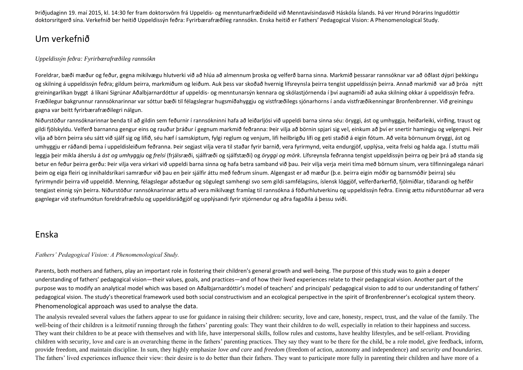Þriðjudaginn 19. maí 2015, kl. 14:30 fer fram doktorsvörn frá Uppeldis- og menntunarfræðideild við Menntavísindasvið Háskóla Íslands. Þá ver Hrund Þórarins Ingudóttir doktorsritgerð sína. Verkefnið ber heitið Uppeldissýn feðra: Fyrirbærafræðileg rannsókn. Enska heitið er Fathers' Pedagogical Vision: A Phenomenological Study.

## Um verkefnið

#### *Uppeldissýn feðra: Fyrirbærafræðileg rannsókn*

Foreldrar, bæði mæður og feður, gegna mikilvægu hlutverki við að hlúa að almennum þroska og velferð barna sinna. Markmið þessarar rannsóknar var að öðlast dýpri þekkingu og skilning á uppeldissýn feðra; gildum þeirra, markmiðum og leiðum. Auk þess var skoðað hvernig lífsreynsla þeirra tengist uppeldissýn þeirra. Annað markmið var að þróa nýtt greiningarlíkan byggt á líkani Sigrúnar Aðalbjarnardóttur af uppeldis- og menntunarsýn kennara og skólastjórnenda í því augnamiði að auka skilning okkar á uppeldissýn feðra. Fræðilegur bakgrunnur rannsóknarinnar var sóttur bæði til félagslegrar hugsmíðahyggju og vistfræðilegs sjónarhorns í anda vistfræðikenningar Bronfenbrenner. Við greiningu gagna var beitt fyrirbærafræðilegri nálgun.

Niðurstöður rannsóknarinnar benda til að gildin sem feðurnir í rannsókninni hafa að leiðarljósi við uppeldi barna sinna séu: öryggi, ást og umhyggja, heiðarleiki, virðing, traust og gildi fjölskyldu. Velferð barnanna gengur eins og rauður þráður í gegnum markmið feðranna: Þeir vilja að börnin spjari sig vel, einkum að því er snertir hamingju og velgengni. Þeir vilja að börn þeirra séu sátt við sjálf sig og lífið, séu hæf í samskiptum, fylgi reglum og venjum, lifi heilbrigðu lífi og geti staðið á eigin fótum. Að veita börnunum öryggi, ást og umhyggju er ráðandi bema í uppeldisleiðum feðranna. Þeir segjast vilja vera til staðar fyrir barnið, vera fyrirmynd, veita endurgjöf, upplýsa, veita frelsi og halda aga. Í stuttu máli leggja þeir mikla áherslu á *ást og umhyggju* og *frelsi* (frjálsræði, sjálfræði og sjálfstæði) og *öryggi og mörk*. Lífsreynsla feðranna tengist uppeldissýn þeirra og þeir þrá að standa sig betur en feður þeirra gerðu: Þeir vilja vera virkari við uppeldi barna sinna og hafa betra samband við þau. Þeir vilja verja meiri tíma með börnum sínum, vera tilfinningalega nánari þeim og eiga fleiri og innihaldsríkari samræður við þau en þeir sjálfir áttu með feðrum sínum. Algengast er að mæður (þ.e. þeirra eigin móðir og barnsmóðir þeirra) séu fyrirmyndir þeirra við uppeldið. Menning, félagslegar aðstæður og sögulegt samhengi svo sem gildi samfélagsins, íslensk löggjöf, velferðarkerfið, fjölmiðlar, tíðarandi og hefðir tengjast einnig sýn þeirra. Niðurstöður rannsóknarinnar ættu að vera mikilvægt framlag til rannsókna á föðurhlutverkinu og uppeldissýn feðra. Einnig ættu niðurstöðurnar að vera gagnlegar við stefnumótun foreldrafræðslu og uppeldisráðgjöf og upplýsandi fyrir stjórnendur og aðra fagaðila á þessu sviði.

## Enska

#### *Fathers' Pedagogical Vision: A Phenomenological Study.*

Parents, both mothers and fathers, play an important role in fostering their children's general growth and well-being. The purpose of this study was to gain a deeper understanding of fathers' pedagogical vision—their values, goals, and practices—and of how their lived experiences relate to their pedagogical vision. Another part of the purpose was to modify an analytical model which was based on Aðalbjarnardóttir's model of teachers' and principals' pedagogical vision to add to our understanding of fathers' pedagogical vision. The study's theoretical framework used both social constructivism and an ecological perspective in the spirit of Bronfenbrenner's ecological system theory. Phenomenological approach was used to analyse the data.

The analysis revealed several values the fathers appear to use for guidance in raising their children: security, love and care, honesty, respect, trust, and the value of the family. The well-being of their children is a leitmotif running through the fathers' parenting goals: They want their children to do well, especially in relation to their happiness and success. They want their children to be at peace with themselves and with life, have interpersonal skills, follow rules and customs, have healthy lifestyles, and be self-reliant. Providing children with security, love and care is an overarching theme in the fathers' parenting practices. They say they want to be there for the child, be a role model, give feedback, inform, provide freedom, and maintain discipline. In sum, they highly emphasize *love and care* and *freedom* (freedom of action, autonomy and independence) and *security and boundaries*. The fathers' lived experiences influence their view: their desire is to do better than their fathers. They want to participate more fully in parenting their children and have more of a